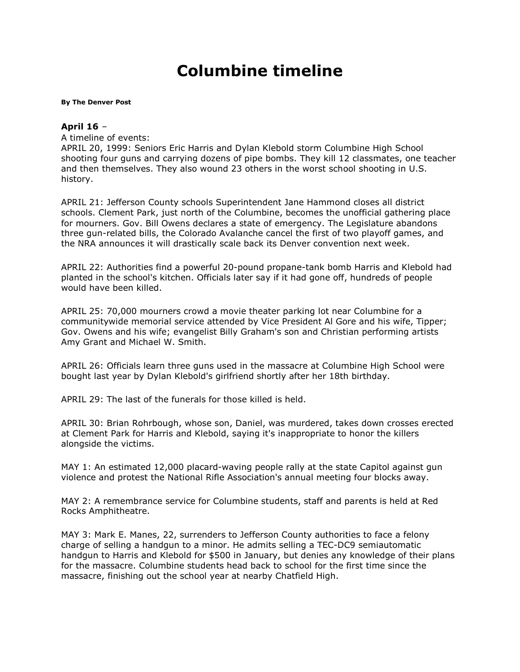## **Columbine timeline**

## **By [The Denver Post](mailto:newsroom@denverpost.com)**

## **April 16** –

A timeline of events:

APRIL 20, 1999: Seniors Eric Harris and Dylan Klebold storm Columbine High School shooting four guns and carrying dozens of pipe bombs. They kill 12 classmates, one teacher and then themselves. They also wound 23 others in the worst school shooting in U.S. history.

APRIL 21: Jefferson County schools Superintendent Jane Hammond closes all district schools. Clement Park, just north of the Columbine, becomes the unofficial gathering place for mourners. Gov. Bill Owens declares a state of emergency. The Legislature abandons three gun-related bills, the Colorado Avalanche cancel the first of two playoff games, and the NRA announces it will drastically scale back its Denver convention next week.

APRIL 22: Authorities find a powerful 20-pound propane-tank bomb Harris and Klebold had planted in the school's kitchen. Officials later say if it had gone off, hundreds of people would have been killed.

APRIL 25: 70,000 mourners crowd a movie theater parking lot near Columbine for a communitywide memorial service attended by Vice President Al Gore and his wife, Tipper; Gov. Owens and his wife; evangelist Billy Graham's son and Christian performing artists Amy Grant and Michael W. Smith.

APRIL 26: Officials learn three guns used in the massacre at Columbine High School were bought last year by Dylan Klebold's girlfriend shortly after her 18th birthday.

APRIL 29: The last of the funerals for those killed is held.

APRIL 30: Brian Rohrbough, whose son, Daniel, was murdered, takes down crosses erected at Clement Park for Harris and Klebold, saying it's inappropriate to honor the killers alongside the victims.

MAY 1: An estimated 12,000 placard-waving people rally at the state Capitol against gun violence and protest the National Rifle Association's annual meeting four blocks away.

MAY 2: A remembrance service for Columbine students, staff and parents is held at Red Rocks Amphitheatre.

MAY 3: Mark E. Manes, 22, surrenders to Jefferson County authorities to face a felony charge of selling a handgun to a minor. He admits selling a TEC-DC9 semiautomatic handgun to Harris and Klebold for \$500 in January, but denies any knowledge of their plans for the massacre. Columbine students head back to school for the first time since the massacre, finishing out the school year at nearby Chatfield High.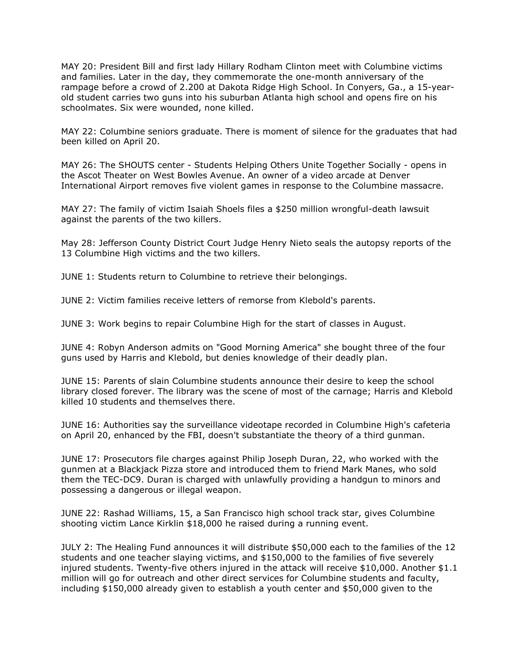MAY 20: President Bill and first lady Hillary Rodham Clinton meet with Columbine victims and families. Later in the day, they commemorate the one-month anniversary of the rampage before a crowd of 2.200 at Dakota Ridge High School. In Conyers, Ga., a 15-yearold student carries two guns into his suburban Atlanta high school and opens fire on his schoolmates. Six were wounded, none killed.

MAY 22: Columbine seniors graduate. There is moment of silence for the graduates that had been killed on April 20.

MAY 26: The SHOUTS center - Students Helping Others Unite Together Socially - opens in the Ascot Theater on West Bowles Avenue. An owner of a video arcade at Denver International Airport removes five violent games in response to the Columbine massacre.

MAY 27: The family of victim Isaiah Shoels files a \$250 million wrongful-death lawsuit against the parents of the two killers.

May 28: Jefferson County District Court Judge Henry Nieto seals the autopsy reports of the 13 Columbine High victims and the two killers.

JUNE 1: Students return to Columbine to retrieve their belongings.

JUNE 2: Victim families receive letters of remorse from Klebold's parents.

JUNE 3: Work begins to repair Columbine High for the start of classes in August.

JUNE 4: Robyn Anderson admits on "Good Morning America" she bought three of the four guns used by Harris and Klebold, but denies knowledge of their deadly plan.

JUNE 15: Parents of slain Columbine students announce their desire to keep the school library closed forever. The library was the scene of most of the carnage; Harris and Klebold killed 10 students and themselves there.

JUNE 16: Authorities say the surveillance videotape recorded in Columbine High's cafeteria on April 20, enhanced by the FBI, doesn't substantiate the theory of a third gunman.

JUNE 17: Prosecutors file charges against Philip Joseph Duran, 22, who worked with the gunmen at a Blackjack Pizza store and introduced them to friend Mark Manes, who sold them the TEC-DC9. Duran is charged with unlawfully providing a handgun to minors and possessing a dangerous or illegal weapon.

JUNE 22: Rashad Williams, 15, a San Francisco high school track star, gives Columbine shooting victim Lance Kirklin \$18,000 he raised during a running event.

JULY 2: The Healing Fund announces it will distribute \$50,000 each to the families of the 12 students and one teacher slaying victims, and \$150,000 to the families of five severely injured students. Twenty-five others injured in the attack will receive \$10,000. Another \$1.1 million will go for outreach and other direct services for Columbine students and faculty, including \$150,000 already given to establish a youth center and \$50,000 given to the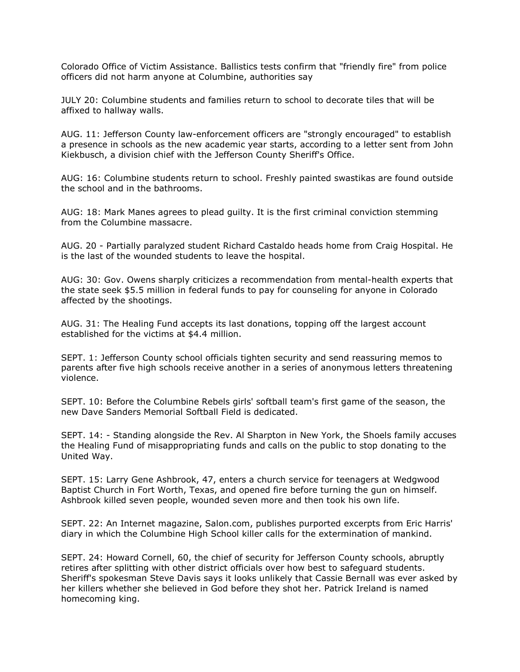Colorado Office of Victim Assistance. Ballistics tests confirm that "friendly fire" from police officers did not harm anyone at Columbine, authorities say

JULY 20: Columbine students and families return to school to decorate tiles that will be affixed to hallway walls.

AUG. 11: Jefferson County law-enforcement officers are "strongly encouraged" to establish a presence in schools as the new academic year starts, according to a letter sent from John Kiekbusch, a division chief with the Jefferson County Sheriff's Office.

AUG: 16: Columbine students return to school. Freshly painted swastikas are found outside the school and in the bathrooms.

AUG: 18: Mark Manes agrees to plead guilty. It is the first criminal conviction stemming from the Columbine massacre.

AUG. 20 - Partially paralyzed student Richard Castaldo heads home from Craig Hospital. He is the last of the wounded students to leave the hospital.

AUG: 30: Gov. Owens sharply criticizes a recommendation from mental-health experts that the state seek \$5.5 million in federal funds to pay for counseling for anyone in Colorado affected by the shootings.

AUG. 31: The Healing Fund accepts its last donations, topping off the largest account established for the victims at \$4.4 million.

SEPT. 1: Jefferson County school officials tighten security and send reassuring memos to parents after five high schools receive another in a series of anonymous letters threatening violence.

SEPT. 10: Before the Columbine Rebels girls' softball team's first game of the season, the new Dave Sanders Memorial Softball Field is dedicated.

SEPT. 14: - Standing alongside the Rev. Al Sharpton in New York, the Shoels family accuses the Healing Fund of misappropriating funds and calls on the public to stop donating to the United Way.

SEPT. 15: Larry Gene Ashbrook, 47, enters a church service for teenagers at Wedgwood Baptist Church in Fort Worth, Texas, and opened fire before turning the gun on himself. Ashbrook killed seven people, wounded seven more and then took his own life.

SEPT. 22: An Internet magazine, Salon.com, publishes purported excerpts from Eric Harris' diary in which the Columbine High School killer calls for the extermination of mankind.

SEPT. 24: Howard Cornell, 60, the chief of security for Jefferson County schools, abruptly retires after splitting with other district officials over how best to safeguard students. Sheriff's spokesman Steve Davis says it looks unlikely that Cassie Bernall was ever asked by her killers whether she believed in God before they shot her. Patrick Ireland is named homecoming king.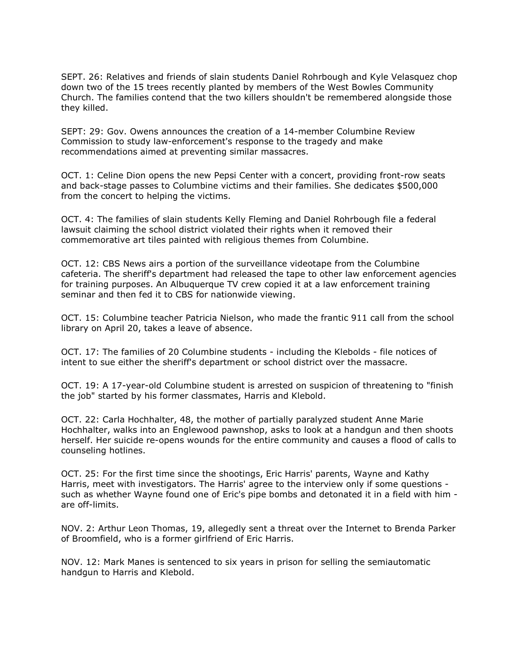SEPT. 26: Relatives and friends of slain students Daniel Rohrbough and Kyle Velasquez chop down two of the 15 trees recently planted by members of the West Bowles Community Church. The families contend that the two killers shouldn't be remembered alongside those they killed.

SEPT: 29: Gov. Owens announces the creation of a 14-member Columbine Review Commission to study law-enforcement's response to the tragedy and make recommendations aimed at preventing similar massacres.

OCT. 1: Celine Dion opens the new Pepsi Center with a concert, providing front-row seats and back-stage passes to Columbine victims and their families. She dedicates \$500,000 from the concert to helping the victims.

OCT. 4: The families of slain students Kelly Fleming and Daniel Rohrbough file a federal lawsuit claiming the school district violated their rights when it removed their commemorative art tiles painted with religious themes from Columbine.

OCT. 12: CBS News airs a portion of the surveillance videotape from the Columbine cafeteria. The sheriff's department had released the tape to other law enforcement agencies for training purposes. An Albuquerque TV crew copied it at a law enforcement training seminar and then fed it to CBS for nationwide viewing.

OCT. 15: Columbine teacher Patricia Nielson, who made the frantic 911 call from the school library on April 20, takes a leave of absence.

OCT. 17: The families of 20 Columbine students - including the Klebolds - file notices of intent to sue either the sheriff's department or school district over the massacre.

OCT. 19: A 17-year-old Columbine student is arrested on suspicion of threatening to "finish the job" started by his former classmates, Harris and Klebold.

OCT. 22: Carla Hochhalter, 48, the mother of partially paralyzed student Anne Marie Hochhalter, walks into an Englewood pawnshop, asks to look at a handgun and then shoots herself. Her suicide re-opens wounds for the entire community and causes a flood of calls to counseling hotlines.

OCT. 25: For the first time since the shootings, Eric Harris' parents, Wayne and Kathy Harris, meet with investigators. The Harris' agree to the interview only if some questions such as whether Wayne found one of Eric's pipe bombs and detonated it in a field with him are off-limits.

NOV. 2: Arthur Leon Thomas, 19, allegedly sent a threat over the Internet to Brenda Parker of Broomfield, who is a former girlfriend of Eric Harris.

NOV. 12: Mark Manes is sentenced to six years in prison for selling the semiautomatic handgun to Harris and Klebold.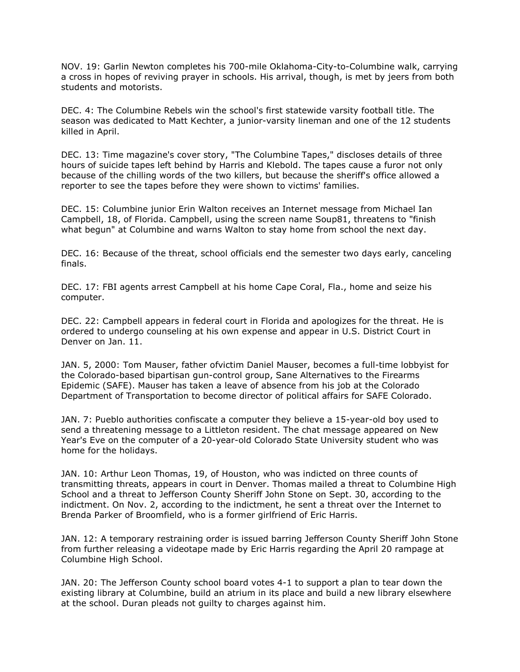NOV. 19: Garlin Newton completes his 700-mile Oklahoma-City-to-Columbine walk, carrying a cross in hopes of reviving prayer in schools. His arrival, though, is met by jeers from both students and motorists.

DEC. 4: The Columbine Rebels win the school's first statewide varsity football title. The season was dedicated to Matt Kechter, a junior-varsity lineman and one of the 12 students killed in April.

DEC. 13: Time magazine's cover story, "The Columbine Tapes," discloses details of three hours of suicide tapes left behind by Harris and Klebold. The tapes cause a furor not only because of the chilling words of the two killers, but because the sheriff's office allowed a reporter to see the tapes before they were shown to victims' families.

DEC. 15: Columbine junior Erin Walton receives an Internet message from Michael Ian Campbell, 18, of Florida. Campbell, using the screen name Soup81, threatens to "finish what begun" at Columbine and warns Walton to stay home from school the next day.

DEC. 16: Because of the threat, school officials end the semester two days early, canceling finals.

DEC. 17: FBI agents arrest Campbell at his home Cape Coral, Fla., home and seize his computer.

DEC. 22: Campbell appears in federal court in Florida and apologizes for the threat. He is ordered to undergo counseling at his own expense and appear in U.S. District Court in Denver on Jan. 11.

JAN. 5, 2000: Tom Mauser, father ofvictim Daniel Mauser, becomes a full-time lobbyist for the Colorado-based bipartisan gun-control group, Sane Alternatives to the Firearms Epidemic (SAFE). Mauser has taken a leave of absence from his job at the Colorado Department of Transportation to become director of political affairs for SAFE Colorado.

JAN. 7: Pueblo authorities confiscate a computer they believe a 15-year-old boy used to send a threatening message to a Littleton resident. The chat message appeared on New Year's Eve on the computer of a 20-year-old Colorado State University student who was home for the holidays.

JAN. 10: Arthur Leon Thomas, 19, of Houston, who was indicted on three counts of transmitting threats, appears in court in Denver. Thomas mailed a threat to Columbine High School and a threat to Jefferson County Sheriff John Stone on Sept. 30, according to the indictment. On Nov. 2, according to the indictment, he sent a threat over the Internet to Brenda Parker of Broomfield, who is a former girlfriend of Eric Harris.

JAN. 12: A temporary restraining order is issued barring Jefferson County Sheriff John Stone from further releasing a videotape made by Eric Harris regarding the April 20 rampage at Columbine High School.

JAN. 20: The Jefferson County school board votes 4-1 to support a plan to tear down the existing library at Columbine, build an atrium in its place and build a new library elsewhere at the school. Duran pleads not guilty to charges against him.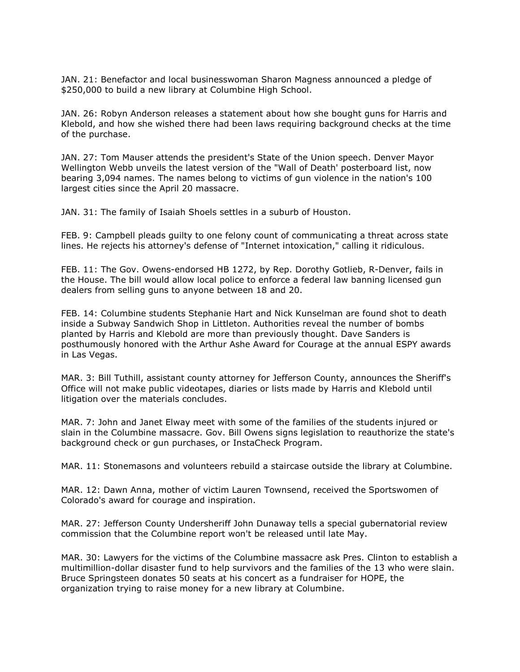JAN. 21: Benefactor and local businesswoman Sharon Magness announced a pledge of \$250,000 to build a new library at Columbine High School.

JAN. 26: Robyn Anderson releases a statement about how she bought guns for Harris and Klebold, and how she wished there had been laws requiring background checks at the time of the purchase.

JAN. 27: Tom Mauser attends the president's State of the Union speech. Denver Mayor Wellington Webb unveils the latest version of the "Wall of Death' posterboard list, now bearing 3,094 names. The names belong to victims of gun violence in the nation's 100 largest cities since the April 20 massacre.

JAN. 31: The family of Isaiah Shoels settles in a suburb of Houston.

FEB. 9: Campbell pleads guilty to one felony count of communicating a threat across state lines. He rejects his attorney's defense of "Internet intoxication," calling it ridiculous.

FEB. 11: The Gov. Owens-endorsed HB 1272, by Rep. Dorothy Gotlieb, R-Denver, fails in the House. The bill would allow local police to enforce a federal law banning licensed gun dealers from selling guns to anyone between 18 and 20.

FEB. 14: Columbine students Stephanie Hart and Nick Kunselman are found shot to death inside a Subway Sandwich Shop in Littleton. Authorities reveal the number of bombs planted by Harris and Klebold are more than previously thought. Dave Sanders is posthumously honored with the Arthur Ashe Award for Courage at the annual ESPY awards in Las Vegas.

MAR. 3: Bill Tuthill, assistant county attorney for Jefferson County, announces the Sheriff's Office will not make public videotapes, diaries or lists made by Harris and Klebold until litigation over the materials concludes.

MAR. 7: John and Janet Elway meet with some of the families of the students injured or slain in the Columbine massacre. Gov. Bill Owens signs legislation to reauthorize the state's background check or gun purchases, or InstaCheck Program.

MAR. 11: Stonemasons and volunteers rebuild a staircase outside the library at Columbine.

MAR. 12: Dawn Anna, mother of victim Lauren Townsend, received the Sportswomen of Colorado's award for courage and inspiration.

MAR. 27: Jefferson County Undersheriff John Dunaway tells a special gubernatorial review commission that the Columbine report won't be released until late May.

MAR. 30: Lawyers for the victims of the Columbine massacre ask Pres. Clinton to establish a multimillion-dollar disaster fund to help survivors and the families of the 13 who were slain. Bruce Springsteen donates 50 seats at his concert as a fundraiser for HOPE, the organization trying to raise money for a new library at Columbine.